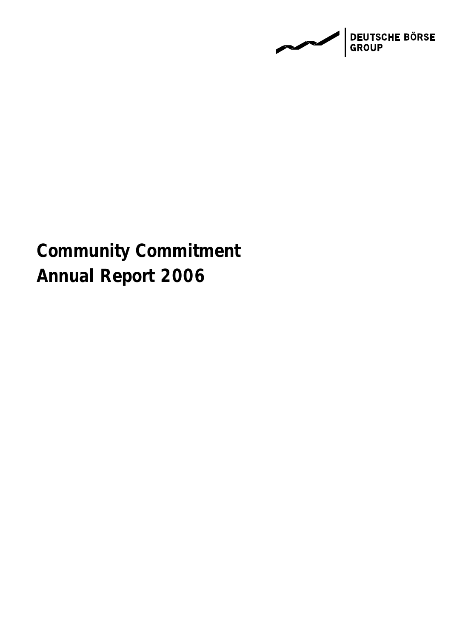

# **Community Commitment** Annual Report 2006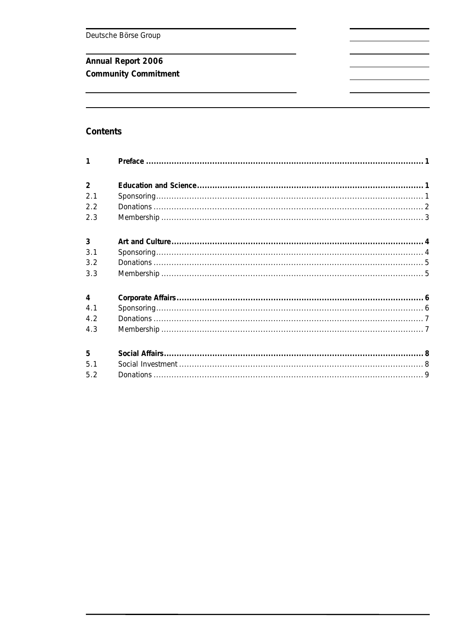# Annual Report 2006

Community Commitment

# Contents

| $\mathbf{1}$   |  |
|----------------|--|
| $\overline{2}$ |  |
| 2.1            |  |
| 2.2            |  |
| 2.3            |  |
| $\overline{3}$ |  |
| 3.1            |  |
| 3.2            |  |
| 3.3            |  |
| $\overline{4}$ |  |
| 4.1            |  |
| 4.2            |  |
| 4.3            |  |
| 5              |  |
| 5.1            |  |
| 5.2            |  |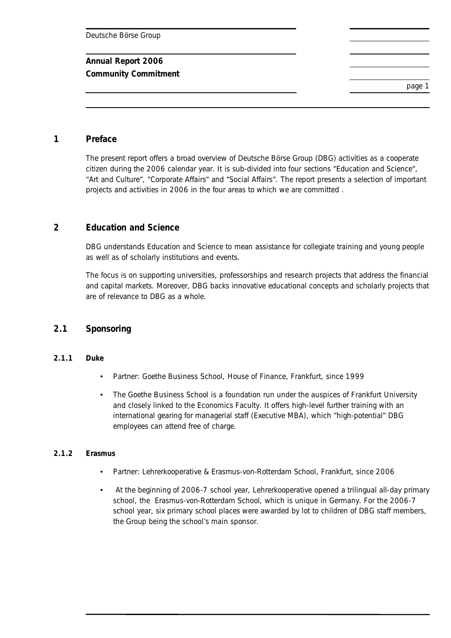**Community Commitment** 

page 1

#### **1 Preface**

The present report offers a broad overview of Deutsche Börse Group (DBG) activities as a cooperate citizen during the 2006 calendar year. It is sub-divided into four sections "Education and Science", "Art and Culture", "Corporate Affairs" and "Social Affairs". The report presents a selection of important projects and activities in 2006 in the four areas to which we are committed .

# **2 Education and Science**

DBG understands Education and Science to mean assistance for collegiate training and young people as well as of scholarly institutions and events.

The focus is on supporting universities, professorships and research projects that address the financial and capital markets. Moreover, DBG backs innovative educational concepts and scholarly projects that are of relevance to DBG as a whole.

#### **2.1 Sponsoring**

#### **2.1.1 Duke**

- Partner: Goethe Business School, House of Finance, Frankfurt, since 1999
- The Goethe Business School is a foundation run under the auspices of Frankfurt University and closely linked to the Economics Faculty. It offers high-level further training with an international gearing for managerial staff (Executive MBA), which "high-potential" DBG employees can attend free of charge.

#### **2.1.2 Erasmus**

- Partner: Lehrerkooperative & Erasmus-von-Rotterdam School, Frankfurt, since 2006
- At the beginning of 2006-7 school year, Lehrerkooperative opened a trilingual all-day primary school, the Erasmus-von-Rotterdam School, which is unique in Germany. For the 2006-7 school year, six primary school places were awarded by lot to children of DBG staff members, the Group being the school's main sponsor.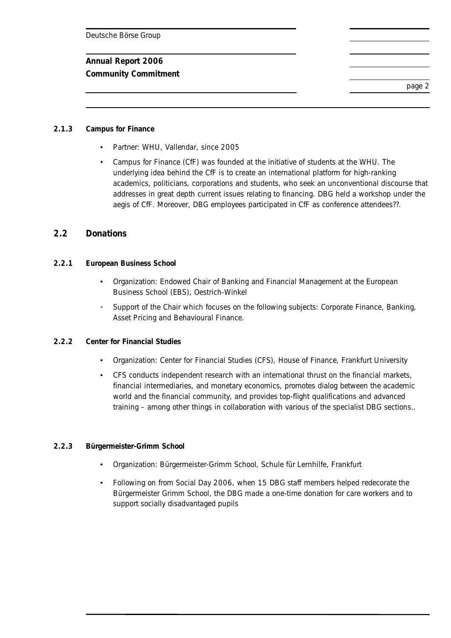#### **Annual Report 2006**

**Community Commitment** 

page 2

#### **2.1.3 Campus for Finance**

- Partner: WHU, Vallendar, since 2005
- Campus for Finance (CfF) was founded at the initiative of students at the WHU. The underlying idea behind the CfF is to create an international platform for high-ranking academics, politicians, corporations and students, who seek an unconventional discourse that addresses in great depth current issues relating to financing. DBG held a workshop under the aegis of CfF. Moreover, DBG employees participated in CfF as conference attendees??.

#### **2.2 Donations**

- **2.2.1 European Business School** 
	- Organization: Endowed Chair of Banking and Financial Management at the European Business School (EBS), Oestrich-Winkel
	- Support of the Chair which focuses on the following subjects: Corporate Finance, Banking, Asset Pricing and Behavioural Finance.
- **2.2.2 Center for Financial Studies** 
	- Organization: Center for Financial Studies (CFS), House of Finance, Frankfurt University
	- CFS conducts independent research with an international thrust on the financial markets, financial intermediaries, and monetary economics, promotes dialog between the academic world and the financial community, and provides top-flight qualifications and advanced training – among other things in collaboration with various of the specialist DBG sections..

#### **2.2.3 Bürgermeister-Grimm School**

- Organization: Bürgermeister-Grimm School, Schule für Lernhilfe, Frankfurt
- Following on from Social Day 2006, when 15 DBG staff members helped redecorate the Bürgermeister Grimm School, the DBG made a one-time donation for care workers and to support socially disadvantaged pupils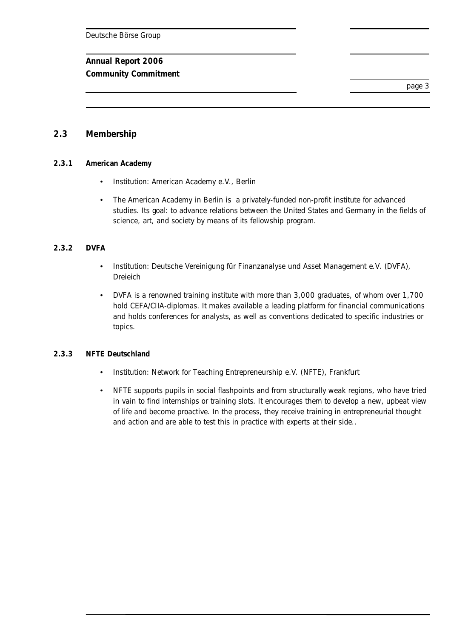# **Annual Report 2006**

**Community Commitment** 

page 3

# **2.3 Membership**

#### **2.3.1 American Academy**

- Institution: American Academy e.V., Berlin
- The American Academy in Berlin is a privately-funded non-profit institute for advanced studies. Its goal: to advance relations between the United States and Germany in the fields of science, art, and society by means of its fellowship program.

#### **2.3.2 DVFA**

- Institution: Deutsche Vereinigung für Finanzanalyse und Asset Management e.V. (DVFA), Dreieich
- DVFA is a renowned training institute with more than 3,000 graduates, of whom over 1,700 hold CEFA/CIIA-diplomas. It makes available a leading platform for financial communications and holds conferences for analysts, as well as conventions dedicated to specific industries or topics.

#### **2.3.3 NFTE Deutschland**

- Institution: Network for Teaching Entrepreneurship e.V. (NFTE), Frankfurt
- NFTE supports pupils in social flashpoints and from structurally weak regions, who have tried in vain to find internships or training slots. It encourages them to develop a new, upbeat view of life and become proactive. In the process, they receive training in entrepreneurial thought and action and are able to test this in practice with experts at their side..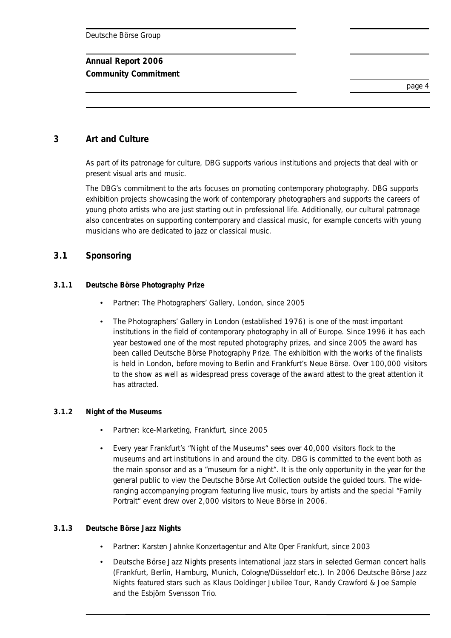# **Annual Report 2006**

**Community Commitment** 

page 4

# **3 Art and Culture**

As part of its patronage for culture, DBG supports various institutions and projects that deal with or present visual arts and music.

The DBG's commitment to the arts focuses on promoting contemporary photography. DBG supports exhibition projects showcasing the work of contemporary photographers and supports the careers of young photo artists who are just starting out in professional life. Additionally, our cultural patronage also concentrates on supporting contemporary and classical music, for example concerts with young musicians who are dedicated to jazz or classical music.

#### **3.1 Sponsoring**

#### **3.1.1 Deutsche Börse Photography Prize**

- Partner: The Photographers' Gallery, London, since 2005
- The Photographers' Gallery in London (established 1976) is one of the most important institutions in the field of contemporary photography in all of Europe. Since 1996 it has each year bestowed one of the most reputed photography prizes, and since 2005 the award has been called Deutsche Börse Photography Prize. The exhibition with the works of the finalists is held in London, before moving to Berlin and Frankfurt's Neue Börse. Over 100,000 visitors to the show as well as widespread press coverage of the award attest to the great attention it has attracted.

#### **3.1.2 Night of the Museums**

- Partner: kce-Marketing, Frankfurt, since 2005
- Every year Frankfurt's "Night of the Museums" sees over 40,000 visitors flock to the museums and art institutions in and around the city. DBG is committed to the event both as the main sponsor and as a "museum for a night". It is the only opportunity in the year for the general public to view the Deutsche Börse Art Collection outside the guided tours. The wideranging accompanying program featuring live music, tours by artists and the special "Family Portrait" event drew over 2,000 visitors to Neue Börse in 2006.

#### **3.1.3 Deutsche Börse Jazz Nights**

- Partner: Karsten Jahnke Konzertagentur and Alte Oper Frankfurt, since 2003
- Deutsche Börse Jazz Nights presents international jazz stars in selected German concert halls (Frankfurt, Berlin, Hamburg, Munich, Cologne/Düsseldorf etc.). In 2006 Deutsche Börse Jazz Nights featured stars such as Klaus Doldinger Jubilee Tour, Randy Crawford & Joe Sample and the Esbjörn Svensson Trio.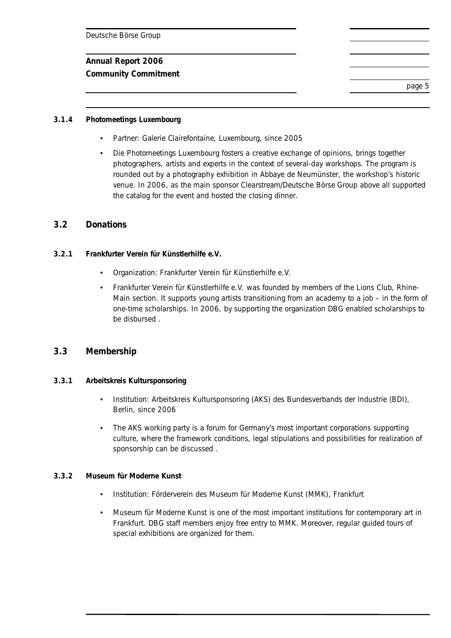**Community Commitment** 

page 5

#### **3.1.4 Photomeetings Luxembourg**

- Partner: Galerie Clairefontaine, Luxembourg, since 2005
- Die Photomeetings Luxembourg fosters a creative exchange of opinions, brings together photographers, artists and experts in the context of several-day workshops. The program is rounded out by a photography exhibition in Abbaye de Neumünster, the workshop's historic venue. In 2006, as the main sponsor Clearstream/Deutsche Börse Group above all supported the catalog for the event and hosted the closing dinner.

# **3.2 Donations**

- **3.2.1 Frankfurter Verein für Künstlerhilfe e.V.** 
	- Organization: Frankfurter Verein für Künstlerhilfe e.V.
	- Frankfurter Verein für Künstlerhilfe e.V. was founded by members of the Lions Club, Rhine-Main section. It supports young artists transitioning from an academy to a job – in the form of one-time scholarships. In 2006, by supporting the organization DBG enabled scholarships to be disbursed .

#### **3.3 Membership**

- **3.3.1 Arbeitskreis Kultursponsoring** 
	- Institution: Arbeitskreis Kultursponsoring (AKS) des Bundesverbands der Industrie (BDI), Berlin, since 2006
	- The AKS working party is a forum for Germany's most important corporations supporting culture, where the framework conditions, legal stipulations and possibilities for realization of sponsorship can be discussed .

#### **3.3.2 Museum für Moderne Kunst**

- Institution: Förderverein des Museum für Moderne Kunst (MMK), Frankfurt
- Museum für Moderne Kunst is one of the most important institutions for contemporary art in Frankfurt. DBG staff members enjoy free entry to MMK. Moreover, regular guided tours of special exhibitions are organized for them.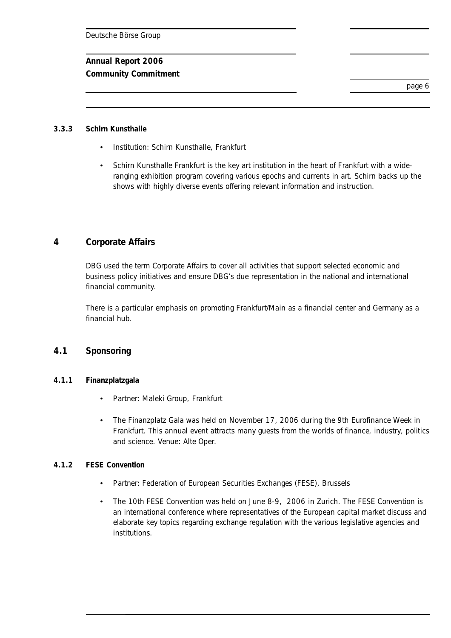#### **Annual Report 2006**

**Community Commitment** 

page 6

#### **3.3.3 Schirn Kunsthalle**

- Institution: Schirn Kunsthalle, Frankfurt
- Schirn Kunsthalle Frankfurt is the key art institution in the heart of Frankfurt with a wideranging exhibition program covering various epochs and currents in art. Schirn backs up the shows with highly diverse events offering relevant information and instruction.

# **4 Corporate Affairs**

DBG used the term Corporate Affairs to cover all activities that support selected economic and business policy initiatives and ensure DBG's due representation in the national and international financial community.

There is a particular emphasis on promoting Frankfurt/Main as a financial center and Germany as a financial hub.

#### **4.1 Sponsoring**

#### **4.1.1 Finanzplatzgala**

- Partner: Maleki Group, Frankfurt
- The Finanzplatz Gala was held on November 17, 2006 during the 9th Eurofinance Week in Frankfurt. This annual event attracts many guests from the worlds of finance, industry, politics and science. Venue: Alte Oper.

#### **4.1.2 FESE Convention**

- Partner: Federation of European Securities Exchanges (FESE), Brussels
- The 10th FESE Convention was held on June 8-9, 2006 in Zurich. The FESE Convention is an international conference where representatives of the European capital market discuss and elaborate key topics regarding exchange regulation with the various legislative agencies and institutions.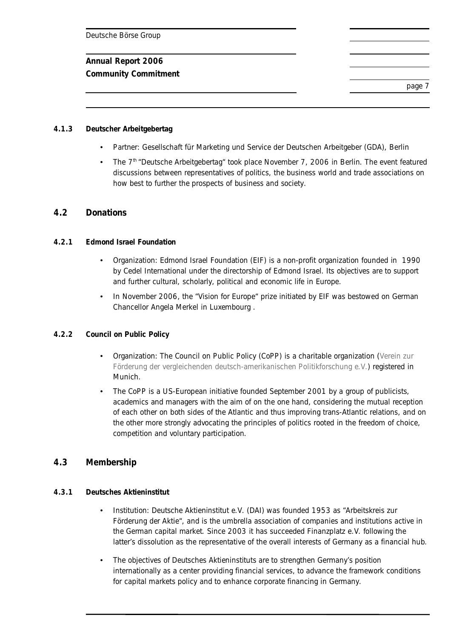**Community Commitment** 

page 7

#### **4.1.3 Deutscher Arbeitgebertag**

- Partner: Gesellschaft für Marketing und Service der Deutschen Arbeitgeber (GDA), Berlin
- The  $7<sup>th</sup>$  "Deutsche Arbeitgebertag" took place November 7, 2006 in Berlin. The event featured discussions between representatives of politics, the business world and trade associations on how best to further the prospects of business and society.

# **4.2 Donations**

#### **4.2.1 Edmond Israel Foundation**

- Organization: Edmond Israel Foundation (EIF) is a non-profit organization founded in 1990 by Cedel International under the directorship of Edmond Israel. Its objectives are to support and further cultural, scholarly, political and economic life in Europe.
- In November 2006, the "Vision for Europe" prize initiated by EIF was bestowed on German Chancellor Angela Merkel in Luxembourg .

#### **4.2.2 Council on Public Policy**

- Organization: The Council on Public Policy (CoPP) is a charitable organization (Verein zur Förderung der vergleichenden deutsch-amerikanischen Politikforschung e.V.) registered in Munich.
- The CoPP is a US-European initiative founded September 2001 by a group of publicists, academics and managers with the aim of on the one hand, considering the mutual reception of each other on both sides of the Atlantic and thus improving trans-Atlantic relations, and on the other more strongly advocating the principles of politics rooted in the freedom of choice, competition and voluntary participation.

# **4.3 Membership**

#### **4.3.1 Deutsches Aktieninstitut**

- Institution: Deutsche Aktieninstitut e.V. (DAI) was founded 1953 as "Arbeitskreis zur Förderung der Aktie", and is the umbrella association of companies and institutions active in the German capital market. Since 2003 it has succeeded Finanzplatz e.V. following the latter's dissolution as the representative of the overall interests of Germany as a financial hub.
- The objectives of Deutsches Aktieninstituts are to strengthen Germany's position internationally as a center providing financial services, to advance the framework conditions for capital markets policy and to enhance corporate financing in Germany.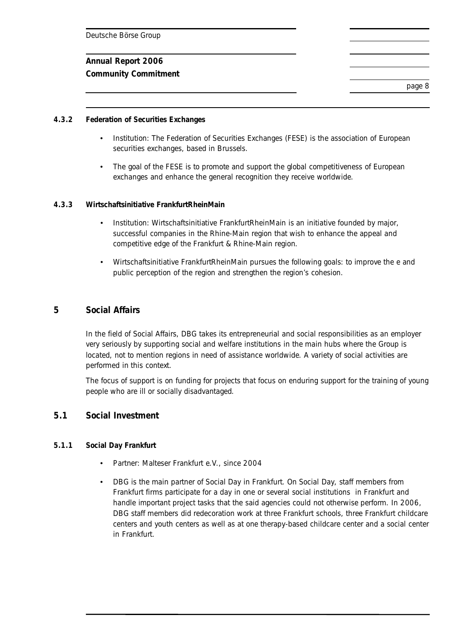**Community Commitment** 

page 8

#### **4.3.2 Federation of Securities Exchanges**

- Institution: The Federation of Securities Exchanges (FESE) is the association of European securities exchanges, based in Brussels.
- The goal of the FESE is to promote and support the global competitiveness of European exchanges and enhance the general recognition they receive worldwide.

#### **4.3.3 Wirtschaftsinitiative FrankfurtRheinMain**

- Institution: Wirtschaftsinitiative FrankfurtRheinMain is an initiative founded by major, successful companies in the Rhine-Main region that wish to enhance the appeal and competitive edge of the Frankfurt & Rhine-Main region.
- Wirtschaftsinitiative FrankfurtRheinMain pursues the following goals: to improve the e and public perception of the region and strengthen the region's cohesion.

# **5 Social Affairs**

In the field of Social Affairs, DBG takes its entrepreneurial and social responsibilities as an employer very seriously by supporting social and welfare institutions in the main hubs where the Group is located, not to mention regions in need of assistance worldwide. A variety of social activities are performed in this context.

The focus of support is on funding for projects that focus on enduring support for the training of young people who are ill or socially disadvantaged.

#### **5.1 Social Investment**

#### **5.1.1 Social Day Frankfurt**

- Partner: Malteser Frankfurt e.V., since 2004
- DBG is the main partner of Social Day in Frankfurt. On Social Day, staff members from Frankfurt firms participate for a day in one or several social institutions in Frankfurt and handle important project tasks that the said agencies could not otherwise perform. In 2006, DBG staff members did redecoration work at three Frankfurt schools, three Frankfurt childcare centers and youth centers as well as at one therapy-based childcare center and a social center in Frankfurt.